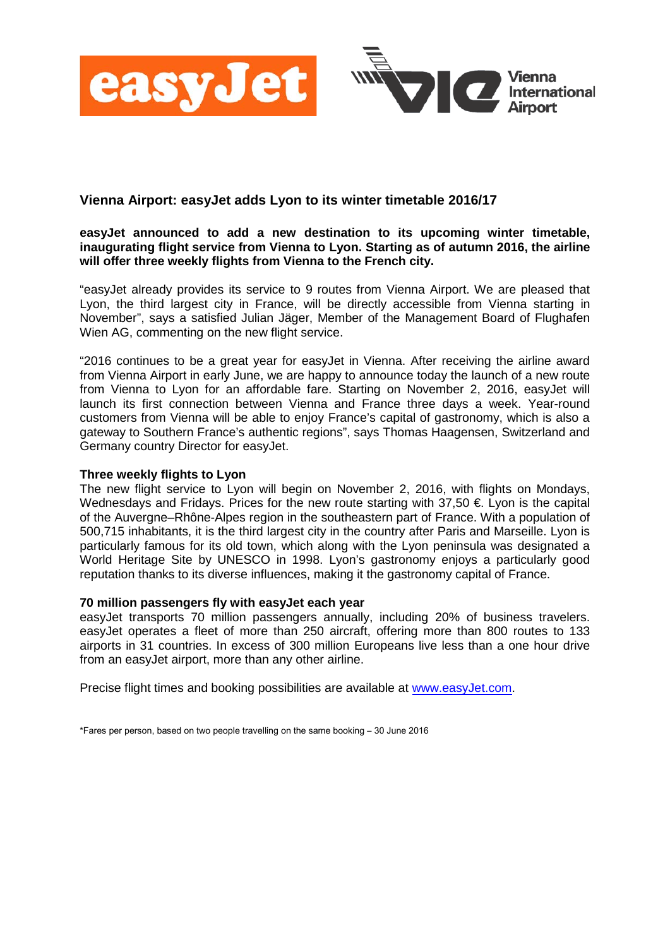

## **Vienna Airport: easyJet adds Lyon to its winter timetable 2016/17**

## **easyJet announced to add a new destination to its upcoming winter timetable, inaugurating flight service from Vienna to Lyon. Starting as of autumn 2016, the airline will offer three weekly flights from Vienna to the French city.**

"easyJet already provides its service to 9 routes from Vienna Airport. We are pleased that Lyon, the third largest city in France, will be directly accessible from Vienna starting in November", says a satisfied Julian Jäger, Member of the Management Board of Flughafen Wien AG, commenting on the new flight service.

"2016 continues to be a great year for easyJet in Vienna. After receiving the airline award from Vienna Airport in early June, we are happy to announce today the launch of a new route from Vienna to Lyon for an affordable fare. Starting on November 2, 2016, easyJet will launch its first connection between Vienna and France three days a week. Year-round customers from Vienna will be able to enjoy France's capital of gastronomy, which is also a gateway to Southern France's authentic regions", says Thomas Haagensen, Switzerland and Germany country Director for easyJet.

## **Three weekly flights to Lyon**

The new flight service to Lyon will begin on November 2, 2016, with flights on Mondays, Wednesdays and Fridays. Prices for the new route starting with 37,50  $\epsilon$  Lyon is the capital of the Auvergne–Rhône-Alpes region in the southeastern part of France. With a population of 500,715 inhabitants, it is the third largest city in the country after Paris and Marseille. Lyon is particularly famous for its old town, which along with the Lyon peninsula was designated a World Heritage Site by UNESCO in 1998. Lyon's gastronomy enjoys a particularly good reputation thanks to its diverse influences, making it the gastronomy capital of France.

## **70 million passengers fly with easyJet each year**

easyJet transports 70 million passengers annually, including 20% of business travelers. easyJet operates a fleet of more than 250 aircraft, offering more than 800 routes to 133 airports in 31 countries. In excess of 300 million Europeans live less than a one hour drive from an easyJet airport, more than any other airline.

Precise flight times and booking possibilities are available at [www.easyJet.com.](http://www.easyjet.com/)

<sup>\*</sup>Fares per person, based on two people travelling on the same booking – 30 June 2016